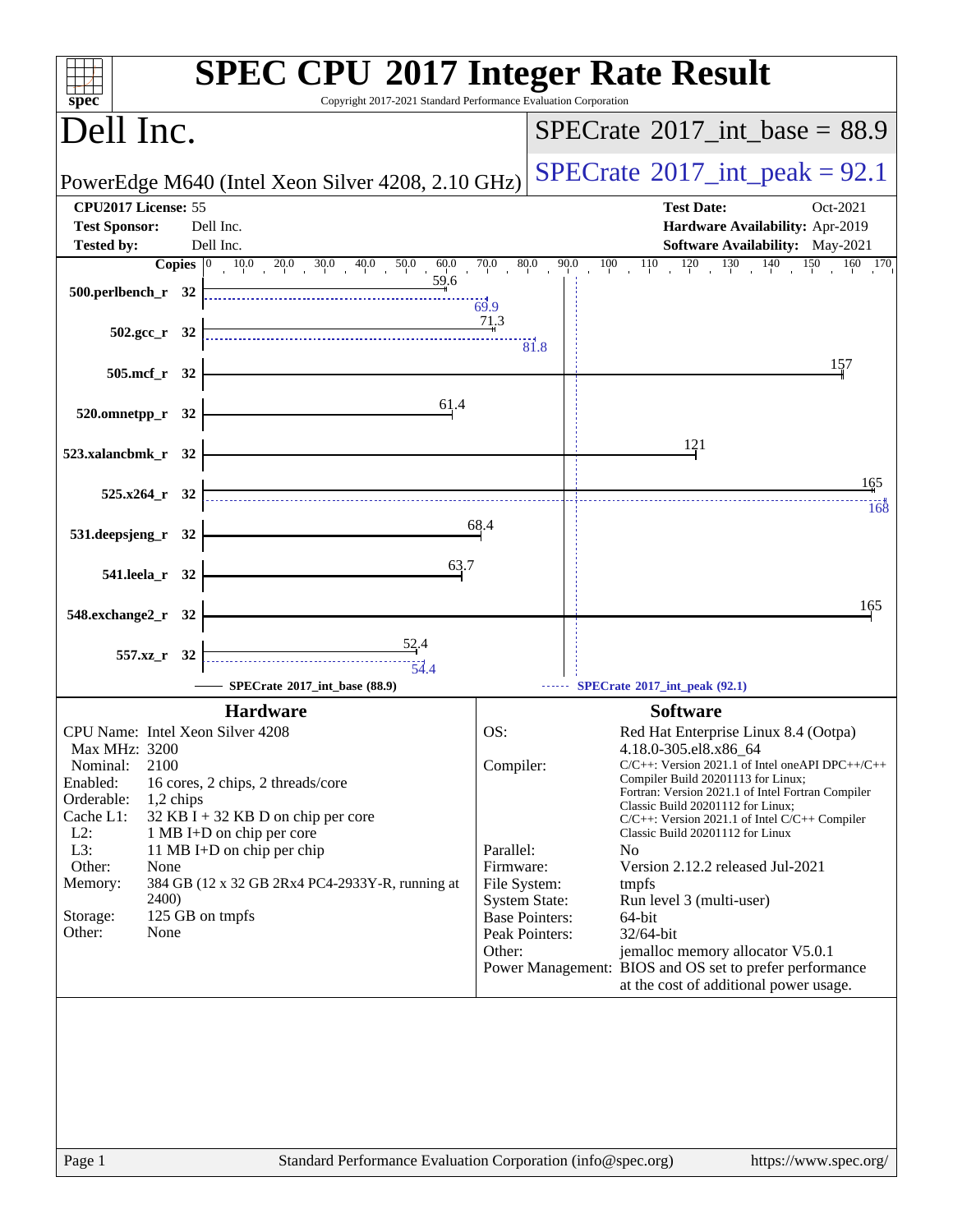| Copyright 2017-2021 Standard Performance Evaluation Corporation<br>spec <sup>®</sup>                                                                                                                                                                                                                                                                                                                                               | <b>SPEC CPU®2017 Integer Rate Result</b>                                                                                                                                                                                                                                                                                                                                                                                                                                                                                                                                                                                                                                                                                                           |
|------------------------------------------------------------------------------------------------------------------------------------------------------------------------------------------------------------------------------------------------------------------------------------------------------------------------------------------------------------------------------------------------------------------------------------|----------------------------------------------------------------------------------------------------------------------------------------------------------------------------------------------------------------------------------------------------------------------------------------------------------------------------------------------------------------------------------------------------------------------------------------------------------------------------------------------------------------------------------------------------------------------------------------------------------------------------------------------------------------------------------------------------------------------------------------------------|
| Dell Inc.                                                                                                                                                                                                                                                                                                                                                                                                                          | $SPECrate^{\circ}2017\_int\_base = 88.9$                                                                                                                                                                                                                                                                                                                                                                                                                                                                                                                                                                                                                                                                                                           |
| PowerEdge M640 (Intel Xeon Silver 4208, 2.10 GHz)                                                                                                                                                                                                                                                                                                                                                                                  | $SPECTate$ <sup>®</sup> 2017_int_peak = 92.1                                                                                                                                                                                                                                                                                                                                                                                                                                                                                                                                                                                                                                                                                                       |
| CPU2017 License: 55<br><b>Test Sponsor:</b><br>Dell Inc.<br>Dell Inc.<br><b>Tested by:</b><br>$10.0$ $20.0$ $30.0$ $40.0$ $50.0$<br>Copies $ 0\rangle$                                                                                                                                                                                                                                                                             | <b>Test Date:</b><br>Oct-2021<br>Hardware Availability: Apr-2019<br>Software Availability: May-2021<br>80.0<br>90.0<br>$\frac{130}{1}$<br>140<br>70.0<br>$\overline{100}$<br>150<br>160 170                                                                                                                                                                                                                                                                                                                                                                                                                                                                                                                                                        |
| $\frac{60.0}{59.6}$<br>500.perlbench_r 32                                                                                                                                                                                                                                                                                                                                                                                          | $110$ $120$<br>$\frac{1}{69.9}$                                                                                                                                                                                                                                                                                                                                                                                                                                                                                                                                                                                                                                                                                                                    |
| $502.\text{gcc r}$ 32                                                                                                                                                                                                                                                                                                                                                                                                              | $\frac{71.3}{4}$<br>$\overline{81.8}$                                                                                                                                                                                                                                                                                                                                                                                                                                                                                                                                                                                                                                                                                                              |
| 505.mcf_r 32                                                                                                                                                                                                                                                                                                                                                                                                                       | 157                                                                                                                                                                                                                                                                                                                                                                                                                                                                                                                                                                                                                                                                                                                                                |
| 61.4<br>520.omnetpp_r 32                                                                                                                                                                                                                                                                                                                                                                                                           | 121                                                                                                                                                                                                                                                                                                                                                                                                                                                                                                                                                                                                                                                                                                                                                |
| 523.xalancbmk_r 32                                                                                                                                                                                                                                                                                                                                                                                                                 | 165                                                                                                                                                                                                                                                                                                                                                                                                                                                                                                                                                                                                                                                                                                                                                |
| $525.x264$ $r$ 32                                                                                                                                                                                                                                                                                                                                                                                                                  | 168                                                                                                                                                                                                                                                                                                                                                                                                                                                                                                                                                                                                                                                                                                                                                |
| 531.deepsjeng_r 32<br>63.7                                                                                                                                                                                                                                                                                                                                                                                                         | 68.4                                                                                                                                                                                                                                                                                                                                                                                                                                                                                                                                                                                                                                                                                                                                               |
| 541.leela_r 32                                                                                                                                                                                                                                                                                                                                                                                                                     | 165                                                                                                                                                                                                                                                                                                                                                                                                                                                                                                                                                                                                                                                                                                                                                |
| 548.exchange2_r 32<br>$\frac{52}{4}$ .4                                                                                                                                                                                                                                                                                                                                                                                            |                                                                                                                                                                                                                                                                                                                                                                                                                                                                                                                                                                                                                                                                                                                                                    |
| 557.xz_r 32<br>$-54.4$<br>SPECrate®2017_int_base (88.9)                                                                                                                                                                                                                                                                                                                                                                            | SPECrate®2017_int_peak (92.1)                                                                                                                                                                                                                                                                                                                                                                                                                                                                                                                                                                                                                                                                                                                      |
| <b>Hardware</b>                                                                                                                                                                                                                                                                                                                                                                                                                    | <b>Software</b>                                                                                                                                                                                                                                                                                                                                                                                                                                                                                                                                                                                                                                                                                                                                    |
| CPU Name: Intel Xeon Silver 4208<br>Max MHz: 3200<br>2100<br>Nominal:<br>Enabled:<br>16 cores, 2 chips, 2 threads/core<br>Orderable:<br>1,2 chips<br>Cache L1:<br>32 KB I + 32 KB D on chip per core<br>$L2$ :<br>1 MB I+D on chip per core<br>L3:<br>11 MB I+D on chip per chip<br>Other:<br>None<br>384 GB (12 x 32 GB 2Rx4 PC4-2933Y-R, running at<br>Memory:<br><b>2400</b> )<br>125 GB on tmpfs<br>Storage:<br>Other:<br>None | OS:<br>Red Hat Enterprise Linux 8.4 (Ootpa)<br>4.18.0-305.el8.x86_64<br>Compiler:<br>$C/C++$ : Version 2021.1 of Intel one API DPC++/C++<br>Compiler Build 20201113 for Linux;<br>Fortran: Version 2021.1 of Intel Fortran Compiler<br>Classic Build 20201112 for Linux;<br>C/C++: Version 2021.1 of Intel C/C++ Compiler<br>Classic Build 20201112 for Linux<br>Parallel:<br>N <sub>0</sub><br>Firmware:<br>Version 2.12.2 released Jul-2021<br>File System:<br>tmpfs<br><b>System State:</b><br>Run level 3 (multi-user)<br><b>Base Pointers:</b><br>$64$ -bit<br>Peak Pointers:<br>32/64-bit<br>Other:<br>jemalloc memory allocator V5.0.1<br>Power Management: BIOS and OS set to prefer performance<br>at the cost of additional power usage. |
| Page 1                                                                                                                                                                                                                                                                                                                                                                                                                             | Standard Performance Evaluation Corporation (info@spec.org)<br>https://www.spec.org/                                                                                                                                                                                                                                                                                                                                                                                                                                                                                                                                                                                                                                                               |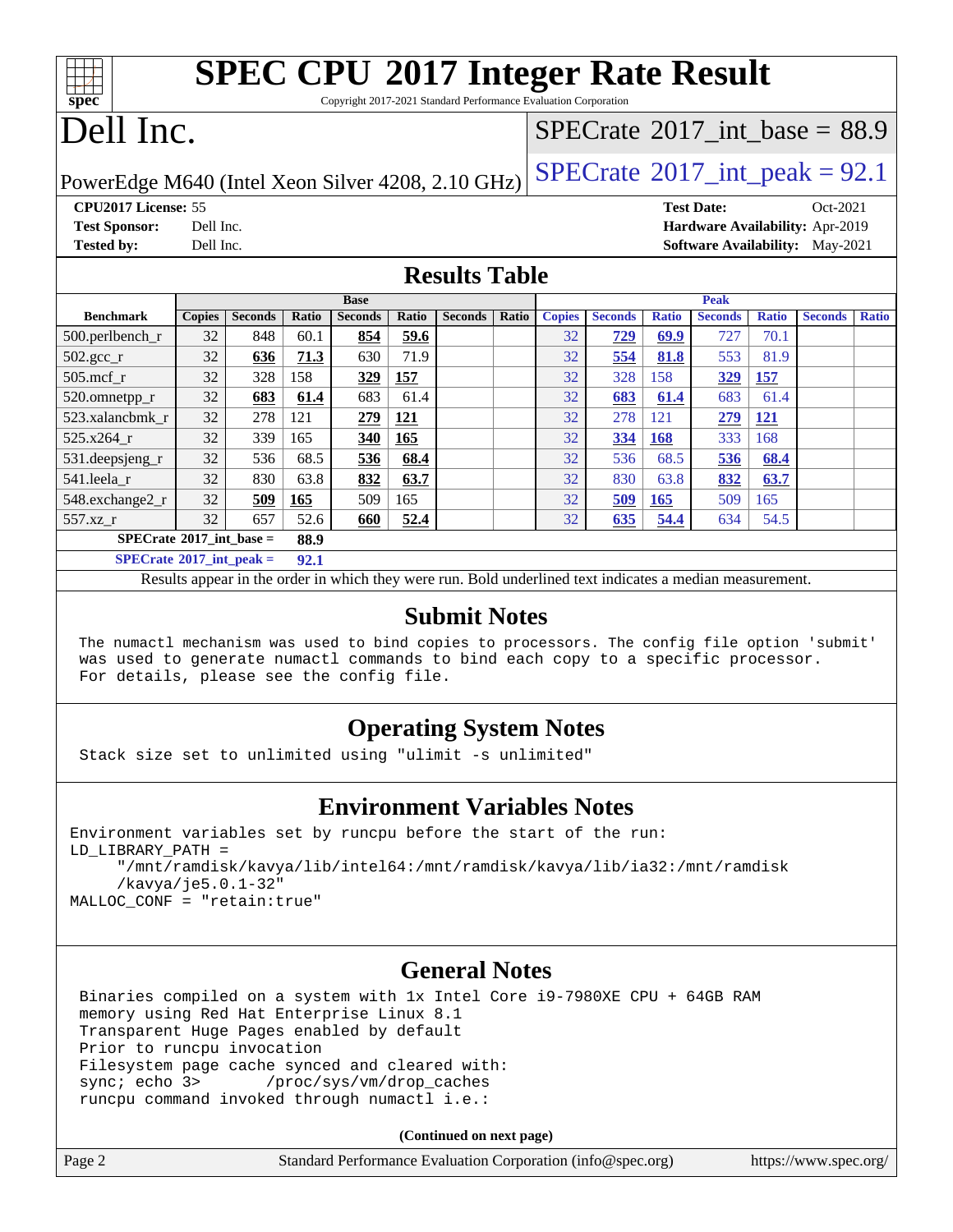# **[SPEC CPU](http://www.spec.org/auto/cpu2017/Docs/result-fields.html#SPECCPU2017IntegerRateResult)[2017 Integer Rate Result](http://www.spec.org/auto/cpu2017/Docs/result-fields.html#SPECCPU2017IntegerRateResult)**

Copyright 2017-2021 Standard Performance Evaluation Corporation

# Dell Inc.

**[spec](http://www.spec.org/)**

### [SPECrate](http://www.spec.org/auto/cpu2017/Docs/result-fields.html#SPECrate2017intbase)®2017 int\_base =  $88.9$

PowerEdge M640 (Intel Xeon Silver 4208, 2.10 GHz)  $\left|$  [SPECrate](http://www.spec.org/auto/cpu2017/Docs/result-fields.html#SPECrate2017intpeak)<sup>®</sup>[2017\\_int\\_peak =](http://www.spec.org/auto/cpu2017/Docs/result-fields.html#SPECrate2017intpeak) 92.1

**[CPU2017 License:](http://www.spec.org/auto/cpu2017/Docs/result-fields.html#CPU2017License)** 55 **[Test Date:](http://www.spec.org/auto/cpu2017/Docs/result-fields.html#TestDate)** Oct-2021

**[Test Sponsor:](http://www.spec.org/auto/cpu2017/Docs/result-fields.html#TestSponsor)** Dell Inc. **[Hardware Availability:](http://www.spec.org/auto/cpu2017/Docs/result-fields.html#HardwareAvailability)** Apr-2019 **[Tested by:](http://www.spec.org/auto/cpu2017/Docs/result-fields.html#Testedby)** Dell Inc. **[Software Availability:](http://www.spec.org/auto/cpu2017/Docs/result-fields.html#SoftwareAvailability)** May-2021

#### **[Results Table](http://www.spec.org/auto/cpu2017/Docs/result-fields.html#ResultsTable)**

|                                           | <b>Base</b>   |                |       | <b>Peak</b>    |             |                |       |               |                |              |                |              |                |              |
|-------------------------------------------|---------------|----------------|-------|----------------|-------------|----------------|-------|---------------|----------------|--------------|----------------|--------------|----------------|--------------|
| <b>Benchmark</b>                          | <b>Copies</b> | <b>Seconds</b> | Ratio | <b>Seconds</b> | Ratio       | <b>Seconds</b> | Ratio | <b>Copies</b> | <b>Seconds</b> | <b>Ratio</b> | <b>Seconds</b> | <b>Ratio</b> | <b>Seconds</b> | <b>Ratio</b> |
| $500.$ perlbench_r                        | 32            | 848            | 60.1  | 854            | 59.6        |                |       | 32            | 729            | 69.9         | 727            | 70.1         |                |              |
| $502.\text{gcc}$ <sub>r</sub>             | 32            | 636            | 71.3  | 630            | 71.9        |                |       | 32            | 554            | 81.8         | 553            | 81.9         |                |              |
| $505$ .mcf r                              | 32            | 328            | 158   | 329            | 157         |                |       | 32            | 328            | 158          | 329            | <u>157</u>   |                |              |
| 520.omnetpp_r                             | 32            | 683            | 61.4  | 683            | 61.4        |                |       | 32            | 683            | 61.4         | 683            | 61.4         |                |              |
| 523.xalancbmk r                           | 32            | 278            | 121   | 279            | <u> 121</u> |                |       | 32            | 278            | 121          | 279            | <u>121</u>   |                |              |
| 525.x264 r                                | 32            | 339            | 165   | 340            | 165         |                |       | 32            | 334            | <b>168</b>   | 333            | 168          |                |              |
| 531.deepsjeng_r                           | 32            | 536            | 68.5  | 536            | 68.4        |                |       | 32            | 536            | 68.5         | 536            | 68.4         |                |              |
| 541.leela r                               | 32            | 830            | 63.8  | 832            | 63.7        |                |       | 32            | 830            | 63.8         | 832            | 63.7         |                |              |
| 548.exchange2_r                           | 32            | 509            | 165   | 509            | 165         |                |       | 32            | 509            | 165          | 509            | 165          |                |              |
| 557.xz                                    | 32            | 657            | 52.6  | 660            | 52.4        |                |       | 32            | 635            | 54.4         | 634            | 54.5         |                |              |
| $SPECrate^{\circ}2017$ int base =         |               |                | 88.9  |                |             |                |       |               |                |              |                |              |                |              |
| $SPECrate^{\circ}2017$ int peak =<br>92.1 |               |                |       |                |             |                |       |               |                |              |                |              |                |              |

Results appear in the [order in which they were run.](http://www.spec.org/auto/cpu2017/Docs/result-fields.html#RunOrder) Bold underlined text [indicates a median measurement.](http://www.spec.org/auto/cpu2017/Docs/result-fields.html#Median)

#### **[Submit Notes](http://www.spec.org/auto/cpu2017/Docs/result-fields.html#SubmitNotes)**

 The numactl mechanism was used to bind copies to processors. The config file option 'submit' was used to generate numactl commands to bind each copy to a specific processor. For details, please see the config file.

#### **[Operating System Notes](http://www.spec.org/auto/cpu2017/Docs/result-fields.html#OperatingSystemNotes)**

Stack size set to unlimited using "ulimit -s unlimited"

#### **[Environment Variables Notes](http://www.spec.org/auto/cpu2017/Docs/result-fields.html#EnvironmentVariablesNotes)**

```
Environment variables set by runcpu before the start of the run:
LD_LIBRARY_PATH =
      "/mnt/ramdisk/kavya/lib/intel64:/mnt/ramdisk/kavya/lib/ia32:/mnt/ramdisk
      /kavya/je5.0.1-32"
MALLOC_CONF = "retain:true"
```
#### **[General Notes](http://www.spec.org/auto/cpu2017/Docs/result-fields.html#GeneralNotes)**

 Binaries compiled on a system with 1x Intel Core i9-7980XE CPU + 64GB RAM memory using Red Hat Enterprise Linux 8.1 Transparent Huge Pages enabled by default Prior to runcpu invocation Filesystem page cache synced and cleared with: sync; echo 3> /proc/sys/vm/drop\_caches runcpu command invoked through numactl i.e.:

**(Continued on next page)**

| Page 2 | Standard Performance Evaluation Corporation (info@spec.org) | https://www.spec.org/ |
|--------|-------------------------------------------------------------|-----------------------|
|        |                                                             |                       |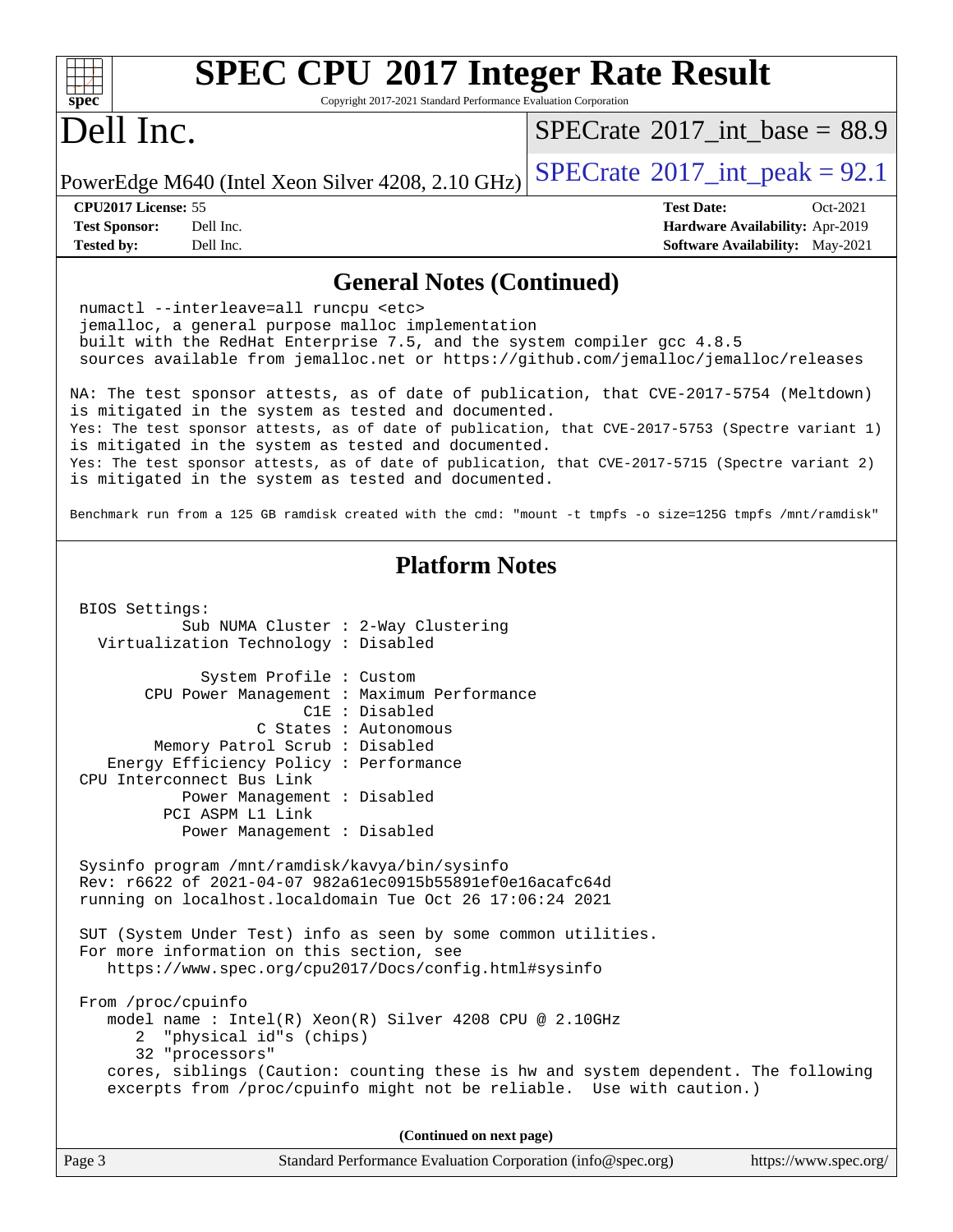| $spec^*$                                                         | <b>SPEC CPU®2017 Integer Rate Result</b><br>Copyright 2017-2021 Standard Performance Evaluation Corporation                                                                                                                                                                                                                                                                                                                                                                                                                                                                                                                                                                                                                                                                                                                                                                                                                                              |                                                                                                                                                                                                                                                                                                |
|------------------------------------------------------------------|----------------------------------------------------------------------------------------------------------------------------------------------------------------------------------------------------------------------------------------------------------------------------------------------------------------------------------------------------------------------------------------------------------------------------------------------------------------------------------------------------------------------------------------------------------------------------------------------------------------------------------------------------------------------------------------------------------------------------------------------------------------------------------------------------------------------------------------------------------------------------------------------------------------------------------------------------------|------------------------------------------------------------------------------------------------------------------------------------------------------------------------------------------------------------------------------------------------------------------------------------------------|
| Dell Inc.                                                        |                                                                                                                                                                                                                                                                                                                                                                                                                                                                                                                                                                                                                                                                                                                                                                                                                                                                                                                                                          | $SPECTate$ <sup>®</sup> 2017_int_base = 88.9                                                                                                                                                                                                                                                   |
|                                                                  | PowerEdge M640 (Intel Xeon Silver 4208, 2.10 GHz)                                                                                                                                                                                                                                                                                                                                                                                                                                                                                                                                                                                                                                                                                                                                                                                                                                                                                                        | $SPECrate^{\circ}2017\_int\_peak = 92.1$                                                                                                                                                                                                                                                       |
| CPU2017 License: 55<br><b>Test Sponsor:</b><br><b>Tested by:</b> | Dell Inc.<br>Dell Inc.                                                                                                                                                                                                                                                                                                                                                                                                                                                                                                                                                                                                                                                                                                                                                                                                                                                                                                                                   | <b>Test Date:</b><br>Oct-2021<br>Hardware Availability: Apr-2019<br><b>Software Availability:</b> May-2021                                                                                                                                                                                     |
|                                                                  | <b>General Notes (Continued)</b>                                                                                                                                                                                                                                                                                                                                                                                                                                                                                                                                                                                                                                                                                                                                                                                                                                                                                                                         |                                                                                                                                                                                                                                                                                                |
|                                                                  | numactl --interleave=all runcpu <etc><br/>jemalloc, a general purpose malloc implementation<br/>built with the RedHat Enterprise 7.5, and the system compiler gcc 4.8.5<br/>sources available from jemalloc.net or https://github.com/jemalloc/jemalloc/releases<br/>is mitigated in the system as tested and documented.<br/>is mitigated in the system as tested and documented.<br/>is mitigated in the system as tested and documented.</etc>                                                                                                                                                                                                                                                                                                                                                                                                                                                                                                        | NA: The test sponsor attests, as of date of publication, that CVE-2017-5754 (Meltdown)<br>Yes: The test sponsor attests, as of date of publication, that CVE-2017-5753 (Spectre variant 1)<br>Yes: The test sponsor attests, as of date of publication, that CVE-2017-5715 (Spectre variant 2) |
|                                                                  |                                                                                                                                                                                                                                                                                                                                                                                                                                                                                                                                                                                                                                                                                                                                                                                                                                                                                                                                                          | Benchmark run from a 125 GB ramdisk created with the cmd: "mount -t tmpfs -o size=125G tmpfs /mnt/ramdisk"                                                                                                                                                                                     |
| BIOS Settings:<br>From /proc/cpuinfo<br>2                        | <b>Platform Notes</b><br>Sub NUMA Cluster : 2-Way Clustering<br>Virtualization Technology : Disabled<br>System Profile : Custom<br>CPU Power Management : Maximum Performance<br>C1E : Disabled<br>C States : Autonomous<br>Memory Patrol Scrub: Disabled<br>Energy Efficiency Policy : Performance<br>CPU Interconnect Bus Link<br>Power Management : Disabled<br>PCI ASPM L1 Link<br>Power Management : Disabled<br>Sysinfo program /mnt/ramdisk/kavya/bin/sysinfo<br>Rev: r6622 of 2021-04-07 982a61ec0915b55891ef0e16acafc64d<br>running on localhost.localdomain Tue Oct 26 17:06:24 2021<br>SUT (System Under Test) info as seen by some common utilities.<br>For more information on this section, see<br>https://www.spec.org/cpu2017/Docs/config.html#sysinfo<br>model name: $Intel(R)$ Xeon(R) Silver 4208 CPU @ 2.10GHz<br>"physical id"s (chips)<br>32 "processors"<br>excerpts from /proc/cpuinfo might not be reliable. Use with caution.) | cores, siblings (Caution: counting these is hw and system dependent. The following                                                                                                                                                                                                             |
|                                                                  | (Continued on next page)                                                                                                                                                                                                                                                                                                                                                                                                                                                                                                                                                                                                                                                                                                                                                                                                                                                                                                                                 |                                                                                                                                                                                                                                                                                                |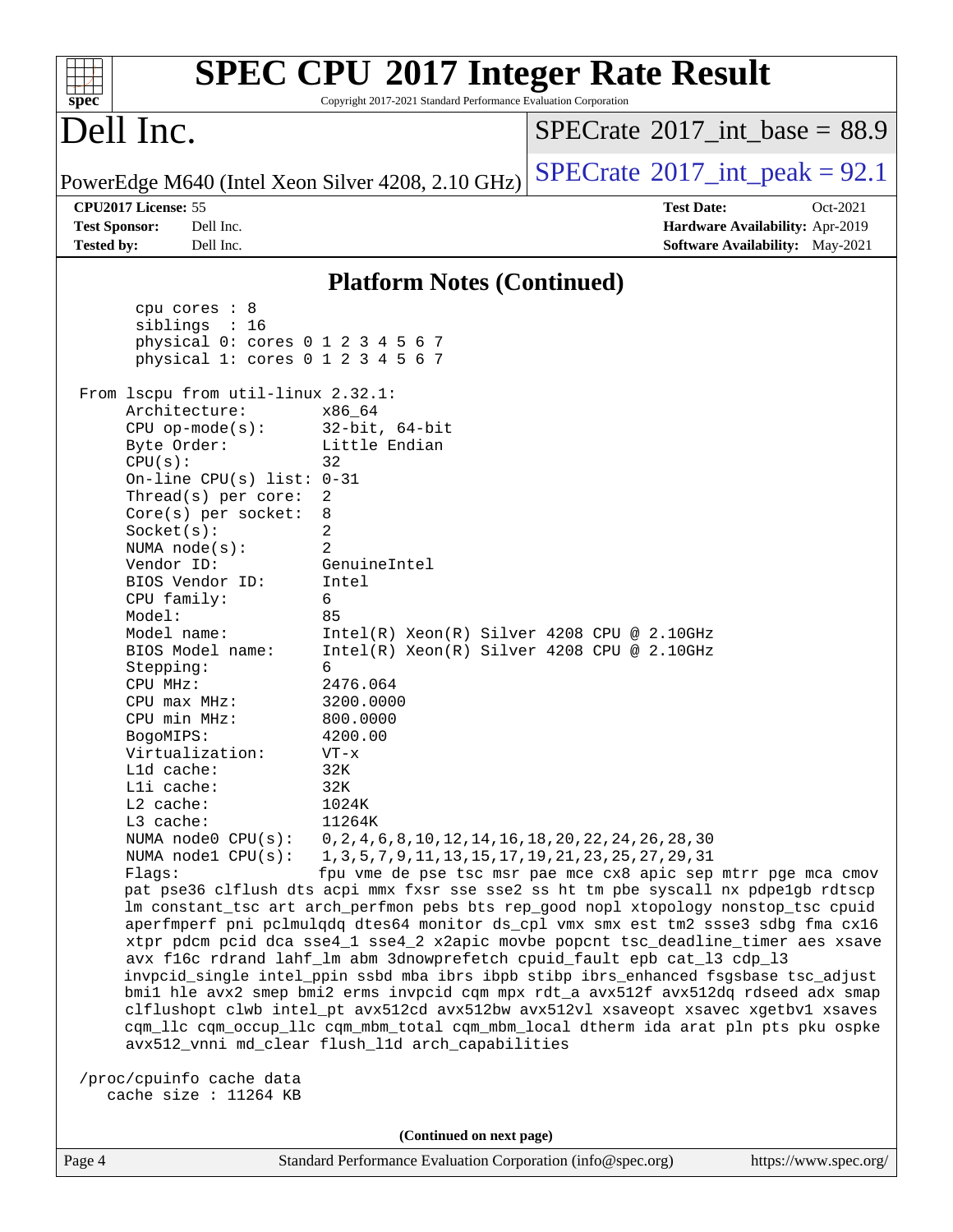| $spec^*$                                                         |                                                                                                                                                                                                                                                                                                                                                                                          | Copyright 2017-2021 Standard Performance Evaluation Corporation                                                                                                                        | <b>SPEC CPU®2017 Integer Rate Result</b>                                                                                                                                                                                                                                                                                                                                                                                                                                                                                                                                                                                                                                                                                                                                                                                                                      |
|------------------------------------------------------------------|------------------------------------------------------------------------------------------------------------------------------------------------------------------------------------------------------------------------------------------------------------------------------------------------------------------------------------------------------------------------------------------|----------------------------------------------------------------------------------------------------------------------------------------------------------------------------------------|---------------------------------------------------------------------------------------------------------------------------------------------------------------------------------------------------------------------------------------------------------------------------------------------------------------------------------------------------------------------------------------------------------------------------------------------------------------------------------------------------------------------------------------------------------------------------------------------------------------------------------------------------------------------------------------------------------------------------------------------------------------------------------------------------------------------------------------------------------------|
| Dell Inc.                                                        |                                                                                                                                                                                                                                                                                                                                                                                          |                                                                                                                                                                                        | $SPECrate^{\circ}2017\_int\_base = 88.9$                                                                                                                                                                                                                                                                                                                                                                                                                                                                                                                                                                                                                                                                                                                                                                                                                      |
|                                                                  |                                                                                                                                                                                                                                                                                                                                                                                          | PowerEdge M640 (Intel Xeon Silver 4208, 2.10 GHz)                                                                                                                                      | $SPECTate$ <sup>®</sup> 2017_int_peak = 92.1                                                                                                                                                                                                                                                                                                                                                                                                                                                                                                                                                                                                                                                                                                                                                                                                                  |
| CPU2017 License: 55<br><b>Test Sponsor:</b><br><b>Tested by:</b> | Dell Inc.<br>Dell Inc.                                                                                                                                                                                                                                                                                                                                                                   |                                                                                                                                                                                        | <b>Test Date:</b><br>Oct-2021<br>Hardware Availability: Apr-2019<br><b>Software Availability:</b> May-2021                                                                                                                                                                                                                                                                                                                                                                                                                                                                                                                                                                                                                                                                                                                                                    |
|                                                                  |                                                                                                                                                                                                                                                                                                                                                                                          | <b>Platform Notes (Continued)</b>                                                                                                                                                      |                                                                                                                                                                                                                                                                                                                                                                                                                                                                                                                                                                                                                                                                                                                                                                                                                                                               |
| CPU(s):<br>Model:                                                | cpu cores $: 8$<br>siblings : 16<br>physical 0: cores 0 1 2 3 4 5 6 7<br>physical 1: cores 0 1 2 3 4 5 6 7<br>From 1scpu from util-linux 2.32.1:<br>Architecture:<br>$CPU$ op-mode( $s$ ):<br>Byte Order:<br>On-line CPU(s) list: $0-31$<br>Thread(s) per core:<br>$Core(s)$ per socket:<br>Socket(s):<br>NUMA $node(s):$<br>Vendor ID:<br>BIOS Vendor ID:<br>CPU family:<br>Model name: | x86 64<br>$32$ -bit, $64$ -bit<br>Little Endian<br>32<br>2<br>8<br>2<br>$\overline{2}$<br>GenuineIntel<br>Intel<br>6<br>85                                                             |                                                                                                                                                                                                                                                                                                                                                                                                                                                                                                                                                                                                                                                                                                                                                                                                                                                               |
| Stepping:<br>CPU MHz:<br>BogoMIPS:                               | BIOS Model name:<br>$CPU$ max $MHz$ :<br>CPU min MHz:<br>Virtualization:<br>Lld cache:<br>Lli cache:<br>L2 cache:                                                                                                                                                                                                                                                                        | $Intel(R) Xeon(R) Silver 4208 CPU @ 2.10GHz$<br>$Intel(R) Xeon(R) Silver 4208 CPU @ 2.10GHz$<br>6<br>2476.064<br>3200.0000<br>800.0000<br>4200.00<br>$VT - x$<br>32K<br>32K<br>1024K   |                                                                                                                                                                                                                                                                                                                                                                                                                                                                                                                                                                                                                                                                                                                                                                                                                                                               |
| L3 cache:<br>Flags:                                              | NUMA node0 CPU(s):<br>NUMA nodel CPU(s):                                                                                                                                                                                                                                                                                                                                                 | 11264K<br>$0, 2, 4, 6, 8, 10, 12, 14, 16, 18, 20, 22, 24, 26, 28, 30$<br>1, 3, 5, 7, 9, 11, 13, 15, 17, 19, 21, 23, 25, 27, 29, 31<br>avx512_vnni md_clear flush_lld arch_capabilities | fpu vme de pse tsc msr pae mce cx8 apic sep mtrr pge mca cmov<br>pat pse36 clflush dts acpi mmx fxsr sse sse2 ss ht tm pbe syscall nx pdpelgb rdtscp<br>lm constant_tsc art arch_perfmon pebs bts rep_good nopl xtopology nonstop_tsc cpuid<br>aperfmperf pni pclmulqdq dtes64 monitor ds_cpl vmx smx est tm2 ssse3 sdbg fma cx16<br>xtpr pdcm pcid dca sse4_1 sse4_2 x2apic movbe popcnt tsc_deadline_timer aes xsave<br>avx f16c rdrand lahf_lm abm 3dnowprefetch cpuid_fault epb cat_13 cdp_13<br>invpcid_single intel_ppin ssbd mba ibrs ibpb stibp ibrs_enhanced fsgsbase tsc_adjust<br>bmil hle avx2 smep bmi2 erms invpcid cqm mpx rdt_a avx512f avx512dq rdseed adx smap<br>clflushopt clwb intel_pt avx512cd avx512bw avx512vl xsaveopt xsavec xgetbvl xsaves<br>cqm_llc cqm_occup_llc cqm_mbm_total cqm_mbm_local dtherm ida arat pln pts pku ospke |
|                                                                  | /proc/cpuinfo cache data<br>cache size : 11264 KB                                                                                                                                                                                                                                                                                                                                        |                                                                                                                                                                                        |                                                                                                                                                                                                                                                                                                                                                                                                                                                                                                                                                                                                                                                                                                                                                                                                                                                               |
|                                                                  |                                                                                                                                                                                                                                                                                                                                                                                          | (Continued on next page)                                                                                                                                                               |                                                                                                                                                                                                                                                                                                                                                                                                                                                                                                                                                                                                                                                                                                                                                                                                                                                               |
| Page 4                                                           |                                                                                                                                                                                                                                                                                                                                                                                          | Standard Performance Evaluation Corporation (info@spec.org)                                                                                                                            | https://www.spec.org/                                                                                                                                                                                                                                                                                                                                                                                                                                                                                                                                                                                                                                                                                                                                                                                                                                         |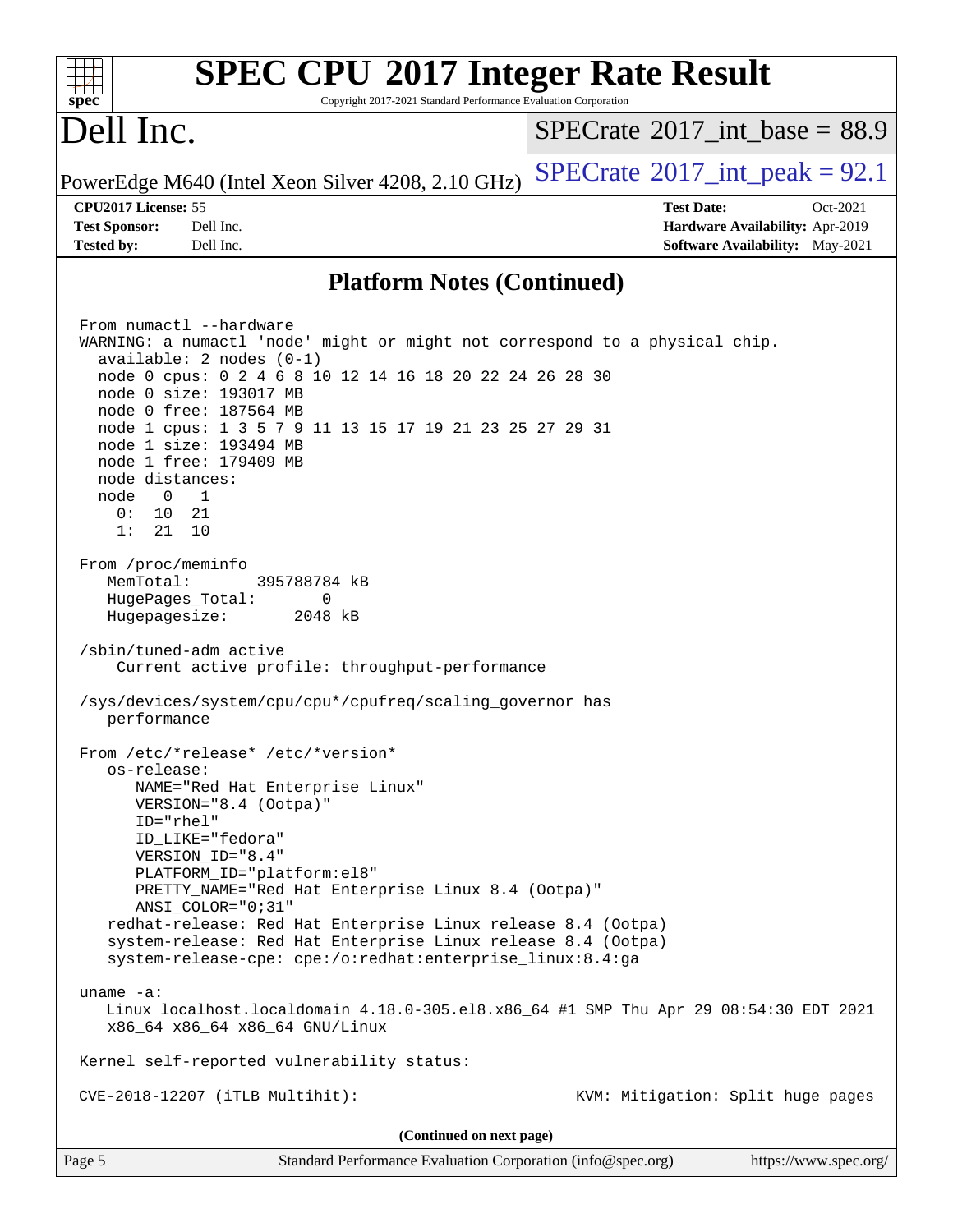| <b>SPEC CPU®2017 Integer Rate Result</b><br>spec <sup>®</sup><br>Copyright 2017-2021 Standard Performance Evaluation Corporation                                                                                                                                                                                                                                                                                                                                                                         |                                              |
|----------------------------------------------------------------------------------------------------------------------------------------------------------------------------------------------------------------------------------------------------------------------------------------------------------------------------------------------------------------------------------------------------------------------------------------------------------------------------------------------------------|----------------------------------------------|
| Dell Inc.                                                                                                                                                                                                                                                                                                                                                                                                                                                                                                | $SPECTate$ <sup>®</sup> 2017_int_base = 88.9 |
| PowerEdge M640 (Intel Xeon Silver 4208, 2.10 GHz)                                                                                                                                                                                                                                                                                                                                                                                                                                                        | $SPECrate^{\circ}2017\_int\_peak = 92.1$     |
| CPU2017 License: 55                                                                                                                                                                                                                                                                                                                                                                                                                                                                                      | <b>Test Date:</b><br>Oct-2021                |
| <b>Test Sponsor:</b><br>Dell Inc.                                                                                                                                                                                                                                                                                                                                                                                                                                                                        | Hardware Availability: Apr-2019              |
| Dell Inc.<br><b>Tested by:</b>                                                                                                                                                                                                                                                                                                                                                                                                                                                                           | Software Availability: May-2021              |
| <b>Platform Notes (Continued)</b>                                                                                                                                                                                                                                                                                                                                                                                                                                                                        |                                              |
| From numactl --hardware<br>WARNING: a numactl 'node' might or might not correspond to a physical chip.<br>$available: 2 nodes (0-1)$<br>node 0 cpus: 0 2 4 6 8 10 12 14 16 18 20 22 24 26 28 30<br>node 0 size: 193017 MB<br>node 0 free: 187564 MB<br>node 1 cpus: 1 3 5 7 9 11 13 15 17 19 21 23 25 27 29 31<br>node 1 size: 193494 MB<br>node 1 free: 179409 MB<br>node distances:<br>$\overline{0}$<br>$\overline{1}$<br>node<br>10 <sup>°</sup><br>21<br>0:<br>1:<br>21<br>10<br>From /proc/meminfo |                                              |
| MemTotal:<br>395788784 kB<br>HugePages_Total:<br>$\mathbf{0}$<br>Hugepagesize:<br>2048 kB<br>/sbin/tuned-adm active<br>Current active profile: throughput-performance                                                                                                                                                                                                                                                                                                                                    |                                              |
| /sys/devices/system/cpu/cpu*/cpufreq/scaling_governor has<br>performance                                                                                                                                                                                                                                                                                                                                                                                                                                 |                                              |
| From /etc/*release* /etc/*version*<br>os-release:<br>NAME="Red Hat Enterprise Linux"<br>VERSION="8.4 (Ootpa)"<br>$ID="rhe1"$<br>ID_LIKE="fedora"<br>VERSION_ID="8.4"<br>PLATFORM_ID="platform:el8"<br>PRETTY_NAME="Red Hat Enterprise Linux 8.4 (Ootpa)"<br>ANSI_COLOR="0;31"<br>redhat-release: Red Hat Enterprise Linux release 8.4 (Ootpa)                                                                                                                                                            |                                              |
| system-release: Red Hat Enterprise Linux release 8.4 (Ootpa)<br>system-release-cpe: cpe:/o:redhat:enterprise_linux:8.4:ga                                                                                                                                                                                                                                                                                                                                                                                |                                              |
| uname $-a$ :<br>Linux localhost.localdomain 4.18.0-305.el8.x86_64 #1 SMP Thu Apr 29 08:54:30 EDT 2021<br>x86_64 x86_64 x86_64 GNU/Linux                                                                                                                                                                                                                                                                                                                                                                  |                                              |
| Kernel self-reported vulnerability status:                                                                                                                                                                                                                                                                                                                                                                                                                                                               |                                              |
| CVE-2018-12207 (iTLB Multihit):                                                                                                                                                                                                                                                                                                                                                                                                                                                                          | KVM: Mitigation: Split huge pages            |
| (Continued on next page)                                                                                                                                                                                                                                                                                                                                                                                                                                                                                 |                                              |
| Page 5<br>Standard Performance Evaluation Corporation (info@spec.org)                                                                                                                                                                                                                                                                                                                                                                                                                                    | https://www.spec.org/                        |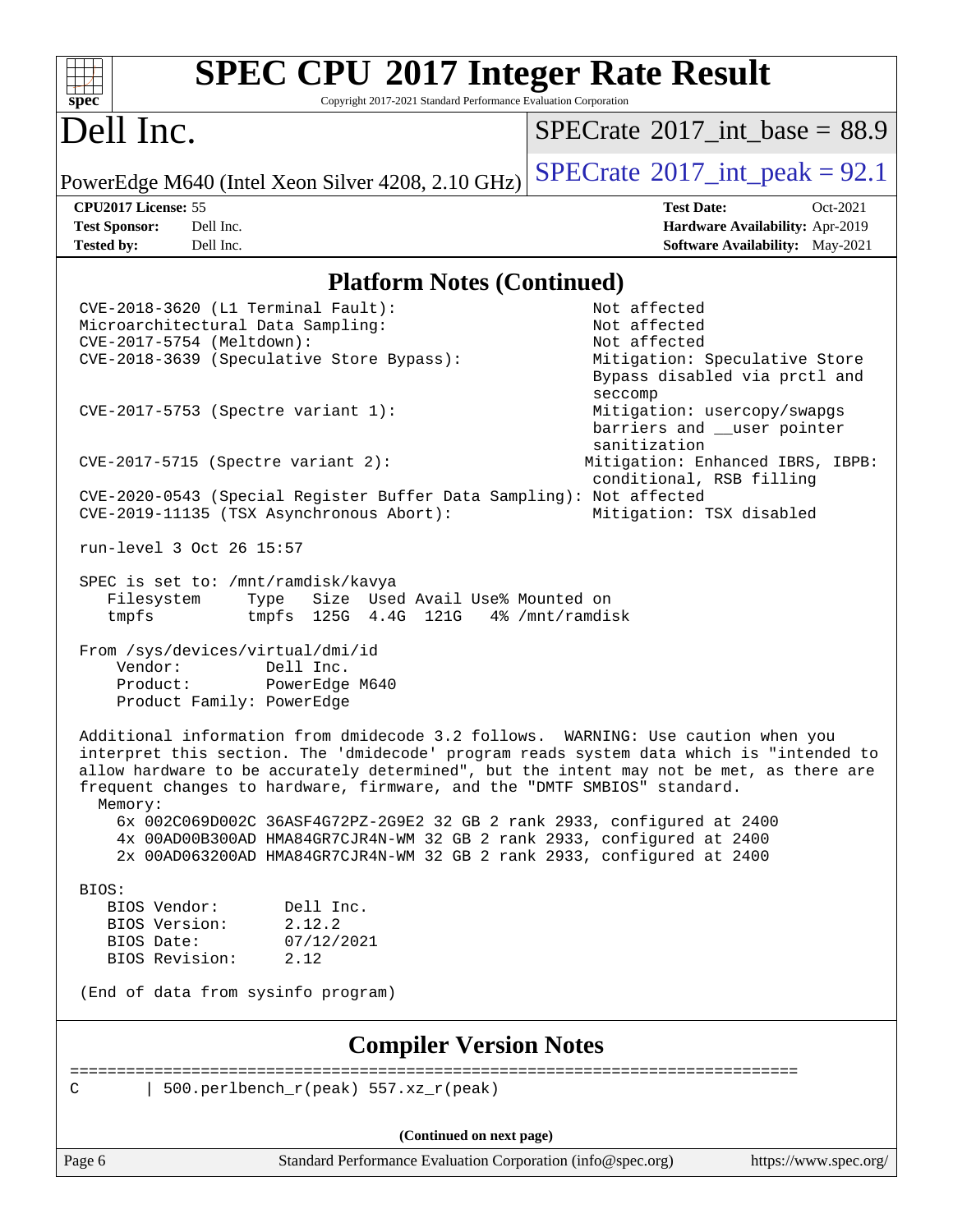| $spec^*$                     | <b>SPEC CPU®2017 Integer Rate Result</b><br>Copyright 2017-2021 Standard Performance Evaluation Corporation                                                                                                                 |                                                                                                                                                                                     |
|------------------------------|-----------------------------------------------------------------------------------------------------------------------------------------------------------------------------------------------------------------------------|-------------------------------------------------------------------------------------------------------------------------------------------------------------------------------------|
| Dell Inc.                    |                                                                                                                                                                                                                             | $SPECTate$ <sup>®</sup> 2017_int_base = 88.9                                                                                                                                        |
|                              | PowerEdge M640 (Intel Xeon Silver 4208, 2.10 GHz)                                                                                                                                                                           | $SPECTate^{\circ}2017\_int\_peak = 92.1$                                                                                                                                            |
| CPU2017 License: 55          |                                                                                                                                                                                                                             | <b>Test Date:</b><br>Oct-2021                                                                                                                                                       |
| <b>Test Sponsor:</b>         | Dell Inc.                                                                                                                                                                                                                   | Hardware Availability: Apr-2019                                                                                                                                                     |
| <b>Tested by:</b>            | Dell Inc.                                                                                                                                                                                                                   | Software Availability: May-2021                                                                                                                                                     |
|                              | <b>Platform Notes (Continued)</b>                                                                                                                                                                                           |                                                                                                                                                                                     |
|                              | CVE-2018-3620 (L1 Terminal Fault):<br>Microarchitectural Data Sampling:                                                                                                                                                     | Not affected<br>Not affected                                                                                                                                                        |
|                              | CVE-2017-5754 (Meltdown):                                                                                                                                                                                                   | Not affected                                                                                                                                                                        |
|                              | CVE-2018-3639 (Speculative Store Bypass):                                                                                                                                                                                   | Mitigation: Speculative Store<br>Bypass disabled via prctl and<br>seccomp                                                                                                           |
|                              | CVE-2017-5753 (Spectre variant 1):                                                                                                                                                                                          | Mitigation: usercopy/swapgs<br>barriers and __user pointer<br>sanitization                                                                                                          |
|                              | $CVE-2017-5715$ (Spectre variant 2):                                                                                                                                                                                        | Mitigation: Enhanced IBRS, IBPB:<br>conditional, RSB filling                                                                                                                        |
|                              | CVE-2020-0543 (Special Register Buffer Data Sampling): Not affected<br>CVE-2019-11135 (TSX Asynchronous Abort):                                                                                                             | Mitigation: TSX disabled                                                                                                                                                            |
|                              | run-level 3 Oct 26 15:57                                                                                                                                                                                                    |                                                                                                                                                                                     |
| Filesystem<br>tmpfs          | SPEC is set to: /mnt/ramdisk/kavya<br>Size Used Avail Use% Mounted on<br>Type<br>tmpfs 125G 4.4G 121G                                                                                                                       | 4% /mnt/ramdisk                                                                                                                                                                     |
| Vendor:<br>Product:          | From /sys/devices/virtual/dmi/id<br>Dell Inc.<br>PowerEdge M640<br>Product Family: PowerEdge                                                                                                                                |                                                                                                                                                                                     |
| Memory:                      | Additional information from dmidecode 3.2 follows. WARNING: Use caution when you<br>frequent changes to hardware, firmware, and the "DMTF SMBIOS" standard.                                                                 | interpret this section. The 'dmidecode' program reads system data which is "intended to<br>allow hardware to be accurately determined", but the intent may not be met, as there are |
|                              | 6x 002C069D002C 36ASF4G72PZ-2G9E2 32 GB 2 rank 2933, configured at 2400<br>4x 00AD00B300AD HMA84GR7CJR4N-WM 32 GB 2 rank 2933, configured at 2400<br>2x 00AD063200AD HMA84GR7CJR4N-WM 32 GB 2 rank 2933, configured at 2400 |                                                                                                                                                                                     |
| BIOS:                        |                                                                                                                                                                                                                             |                                                                                                                                                                                     |
| BIOS Vendor:                 | Dell Inc.                                                                                                                                                                                                                   |                                                                                                                                                                                     |
| BIOS Version:                | 2.12.2                                                                                                                                                                                                                      |                                                                                                                                                                                     |
| BIOS Date:<br>BIOS Revision: | 07/12/2021<br>2.12                                                                                                                                                                                                          |                                                                                                                                                                                     |
|                              | (End of data from sysinfo program)                                                                                                                                                                                          |                                                                                                                                                                                     |
|                              |                                                                                                                                                                                                                             |                                                                                                                                                                                     |

#### **[Compiler Version Notes](http://www.spec.org/auto/cpu2017/Docs/result-fields.html#CompilerVersionNotes)**

============================================================================== | 500.perlbench\_r(peak) 557.xz\_r(peak)

**(Continued on next page)**

Page 6 Standard Performance Evaluation Corporation [\(info@spec.org\)](mailto:info@spec.org) <https://www.spec.org/>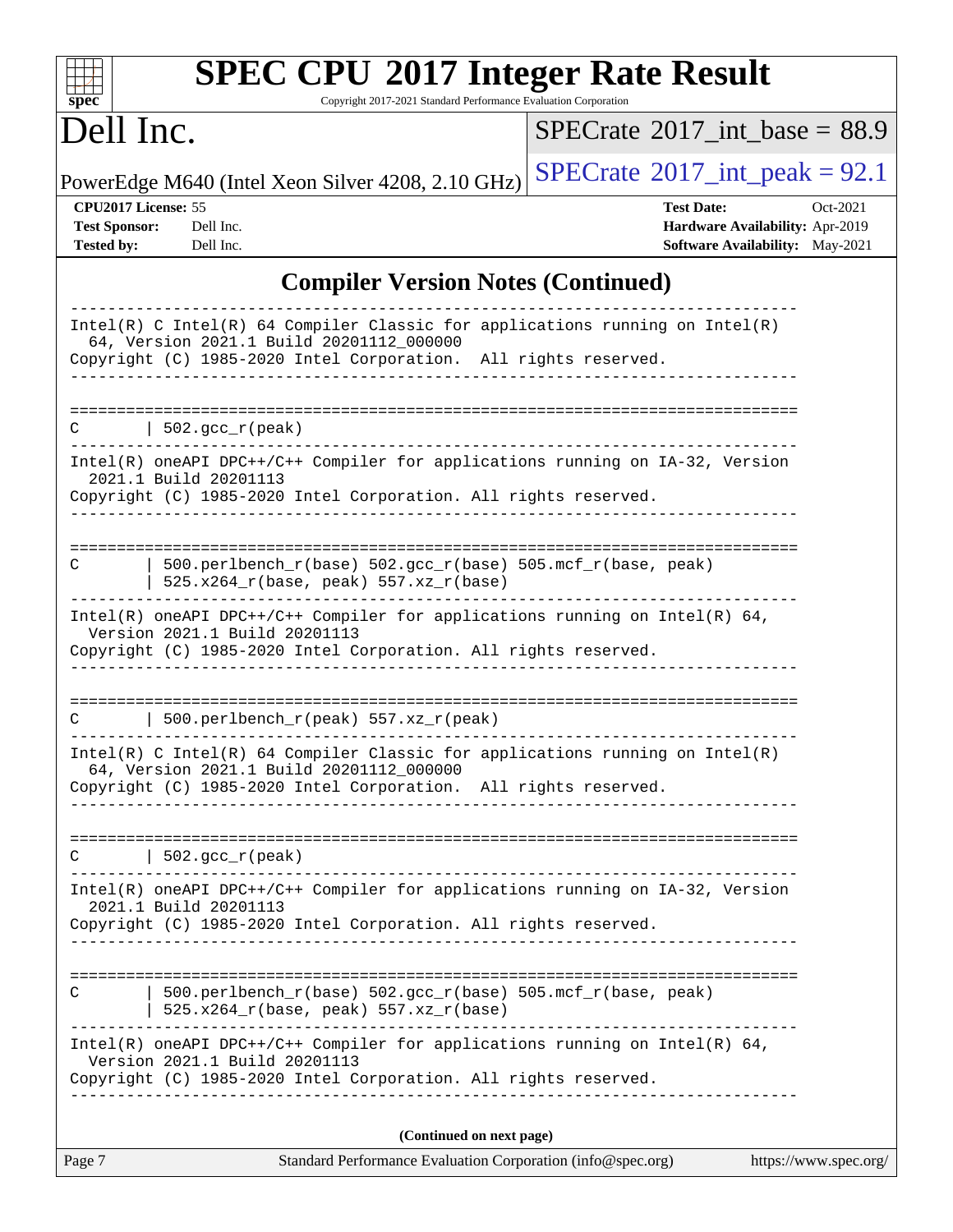| $spec^*$                                                         | <b>SPEC CPU®2017 Integer Rate Result</b><br>Copyright 2017-2021 Standard Performance Evaluation Corporation                                                                                   |                                                                                                            |
|------------------------------------------------------------------|-----------------------------------------------------------------------------------------------------------------------------------------------------------------------------------------------|------------------------------------------------------------------------------------------------------------|
| Dell Inc.                                                        |                                                                                                                                                                                               | $SPECTate$ <sup>®</sup> 2017_int_base = 88.9                                                               |
|                                                                  | PowerEdge M640 (Intel Xeon Silver 4208, 2.10 GHz)                                                                                                                                             | $SPECrate^{\circledast}2017\_int\_peak = 92.1$                                                             |
| CPU2017 License: 55<br><b>Test Sponsor:</b><br><b>Tested by:</b> | Dell Inc.<br>Dell Inc.                                                                                                                                                                        | <b>Test Date:</b><br>Oct-2021<br><b>Hardware Availability: Apr-2019</b><br>Software Availability: May-2021 |
|                                                                  | <b>Compiler Version Notes (Continued)</b>                                                                                                                                                     |                                                                                                            |
|                                                                  | $Intel(R)$ C Intel(R) 64 Compiler Classic for applications running on Intel(R)<br>64, Version 2021.1 Build 20201112_000000<br>Copyright (C) 1985-2020 Intel Corporation. All rights reserved. |                                                                                                            |
| C                                                                | 502.gcc_r(peak)                                                                                                                                                                               |                                                                                                            |
|                                                                  | Intel(R) oneAPI DPC++/C++ Compiler for applications running on IA-32, Version<br>2021.1 Build 20201113<br>Copyright (C) 1985-2020 Intel Corporation. All rights reserved.                     |                                                                                                            |
| С                                                                | 500.perlbench_r(base) 502.gcc_r(base) 505.mcf_r(base, peak)<br>525.x264_r(base, peak) 557.xz_r(base)                                                                                          |                                                                                                            |
|                                                                  | Intel(R) oneAPI DPC++/C++ Compiler for applications running on Intel(R) $64$ ,<br>Version 2021.1 Build 20201113<br>Copyright (C) 1985-2020 Intel Corporation. All rights reserved.            |                                                                                                            |
| C                                                                | 500.perlbench_r(peak) 557.xz_r(peak)                                                                                                                                                          |                                                                                                            |
|                                                                  | Intel(R) C Intel(R) 64 Compiler Classic for applications running on Intel(R)<br>64, Version 2021.1 Build 20201112_000000<br>Copyright (C) 1985-2020 Intel Corporation. All rights reserved.   |                                                                                                            |
| $\mathcal{C}$                                                    | 502.gcc_r(peak)                                                                                                                                                                               |                                                                                                            |
|                                                                  | Intel(R) oneAPI DPC++/C++ Compiler for applications running on IA-32, Version<br>2021.1 Build 20201113<br>Copyright (C) 1985-2020 Intel Corporation. All rights reserved.                     |                                                                                                            |
| C                                                                | 500.perlbench_r(base) 502.gcc_r(base) 505.mcf_r(base, peak)<br>$525.x264_r(base, peak) 557.xz_r(base)$                                                                                        |                                                                                                            |
|                                                                  | $Intel(R)$ oneAPI DPC++/C++ Compiler for applications running on Intel(R) 64,<br>Version 2021.1 Build 20201113<br>Copyright (C) 1985-2020 Intel Corporation. All rights reserved.             |                                                                                                            |
|                                                                  | (Continued on next page)                                                                                                                                                                      |                                                                                                            |
| Page 7                                                           | Standard Performance Evaluation Corporation (info@spec.org)                                                                                                                                   | https://www.spec.org/                                                                                      |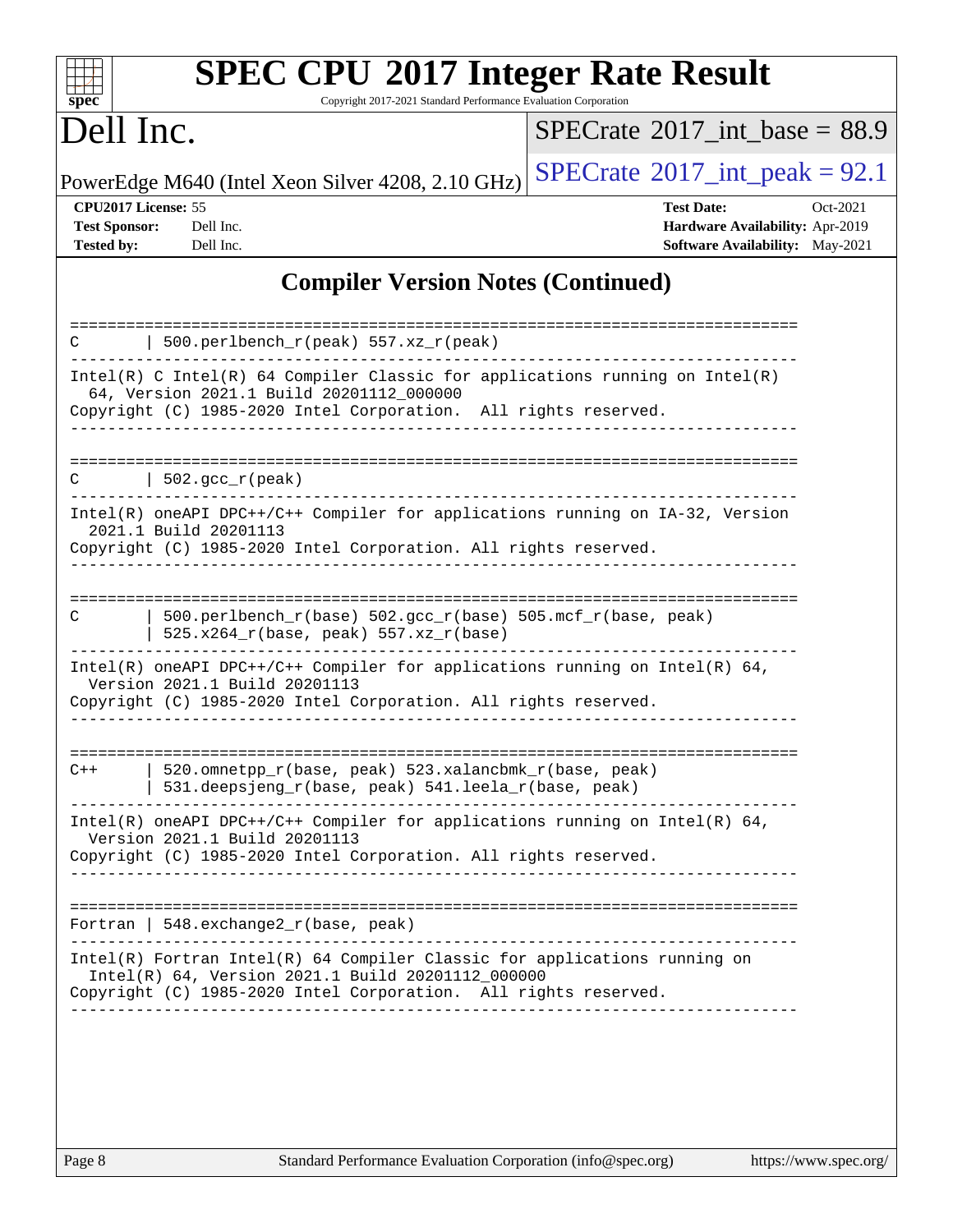| Dell Inc.                                                                                                                                                                                   | $SPECTate$ <sup>®</sup> 2017_int_base = 88.9                                                        |
|---------------------------------------------------------------------------------------------------------------------------------------------------------------------------------------------|-----------------------------------------------------------------------------------------------------|
| PowerEdge M640 (Intel Xeon Silver 4208, 2.10 GHz)                                                                                                                                           | $SPECrate^{\circledcirc}2017\_int\_peak = 92.1$                                                     |
| CPU2017 License: 55<br><b>Test Sponsor:</b><br>Dell Inc.<br><b>Tested by:</b><br>Dell Inc.                                                                                                  | <b>Test Date:</b><br>Oct-2021<br>Hardware Availability: Apr-2019<br>Software Availability: May-2021 |
| <b>Compiler Version Notes (Continued)</b>                                                                                                                                                   |                                                                                                     |
| 500.perlbench_r(peak) 557.xz_r(peak)<br>C                                                                                                                                                   |                                                                                                     |
| Intel(R) C Intel(R) 64 Compiler Classic for applications running on Intel(R)<br>64, Version 2021.1 Build 20201112_000000<br>Copyright (C) 1985-2020 Intel Corporation. All rights reserved. |                                                                                                     |
| 502.gcc_r(peak)                                                                                                                                                                             |                                                                                                     |
| Intel(R) oneAPI DPC++/C++ Compiler for applications running on IA-32, Version<br>2021.1 Build 20201113<br>Copyright (C) 1985-2020 Intel Corporation. All rights reserved.                   |                                                                                                     |
| 500.perlbench_r(base) 502.gcc_r(base) 505.mcf_r(base, peak)<br>C<br>525.x264_r(base, peak) 557.xz_r(base)                                                                                   |                                                                                                     |
| Intel(R) oneAPI DPC++/C++ Compiler for applications running on Intel(R) 64,<br>Version 2021.1 Build 20201113<br>Copyright (C) 1985-2020 Intel Corporation. All rights reserved.             |                                                                                                     |
| 520.omnetpp_r(base, peak) 523.xalancbmk_r(base, peak)<br>$C++$<br>531.deepsjeng_r(base, peak) 541.leela_r(base, peak)                                                                       |                                                                                                     |
| Intel(R) oneAPI DPC++/C++ Compiler for applications running on Intel(R) 64,<br>Version 2021.1 Build 20201113<br>Copyright (C) 1985-2020 Intel Corporation. All rights reserved.             |                                                                                                     |
| Fortran   548. exchange $2r(base, peak)$                                                                                                                                                    |                                                                                                     |
|                                                                                                                                                                                             | $Intel(R)$ Fortran Intel(R) 64 Compiler Classic for applications running on                         |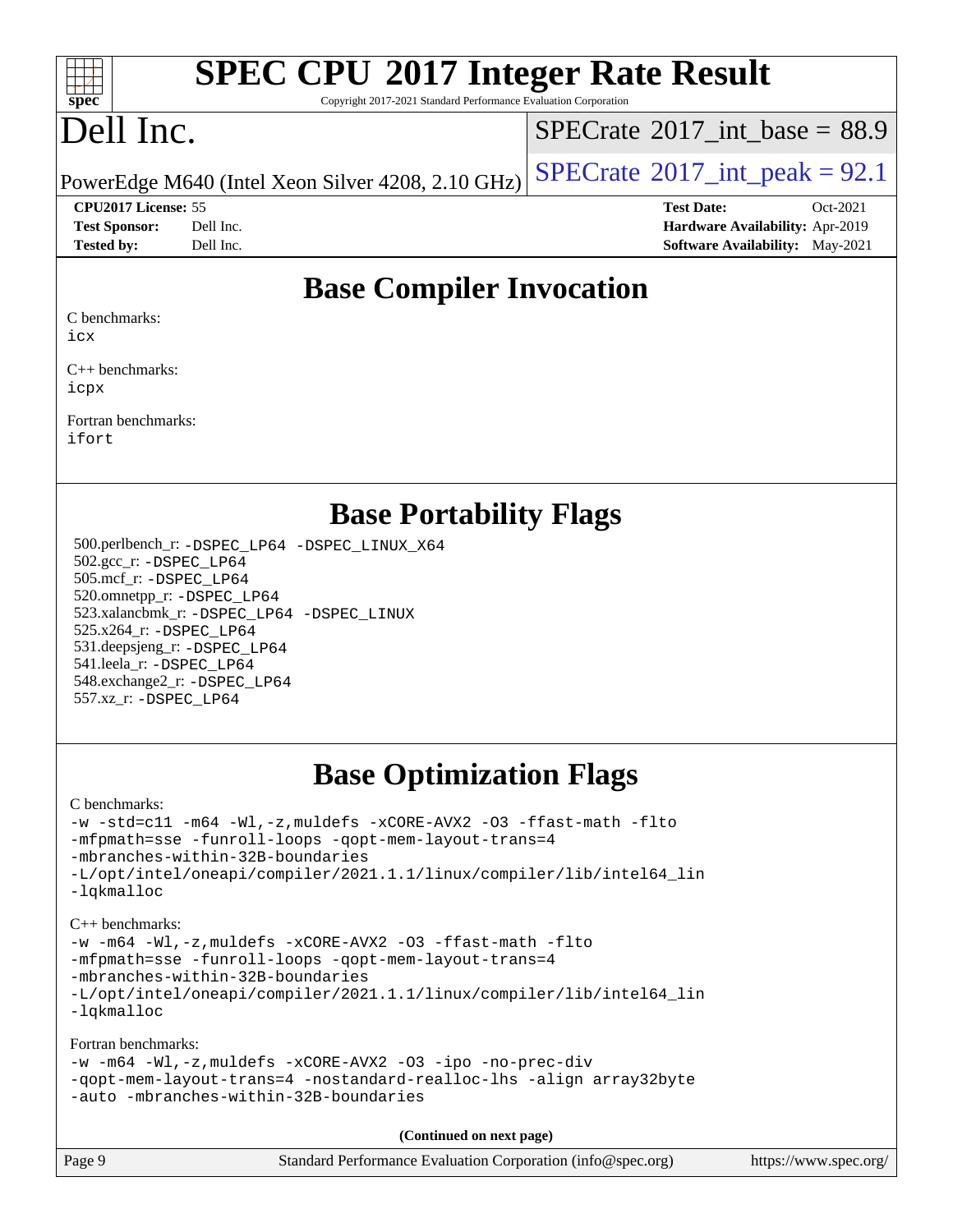#### $+\ +$ **[spec](http://www.spec.org/)**

# **[SPEC CPU](http://www.spec.org/auto/cpu2017/Docs/result-fields.html#SPECCPU2017IntegerRateResult)[2017 Integer Rate Result](http://www.spec.org/auto/cpu2017/Docs/result-fields.html#SPECCPU2017IntegerRateResult)**

Copyright 2017-2021 Standard Performance Evaluation Corporation

# Dell Inc.

[SPECrate](http://www.spec.org/auto/cpu2017/Docs/result-fields.html#SPECrate2017intbase)®2017 int\_base =  $88.9$ 

PowerEdge M640 (Intel Xeon Silver 4208, 2.10 GHz)  $\left|$  [SPECrate](http://www.spec.org/auto/cpu2017/Docs/result-fields.html#SPECrate2017intpeak)®[2017\\_int\\_peak =](http://www.spec.org/auto/cpu2017/Docs/result-fields.html#SPECrate2017intpeak) 92.1

**[CPU2017 License:](http://www.spec.org/auto/cpu2017/Docs/result-fields.html#CPU2017License)** 55 **[Test Date:](http://www.spec.org/auto/cpu2017/Docs/result-fields.html#TestDate)** Oct-2021

**[Test Sponsor:](http://www.spec.org/auto/cpu2017/Docs/result-fields.html#TestSponsor)** Dell Inc. **[Hardware Availability:](http://www.spec.org/auto/cpu2017/Docs/result-fields.html#HardwareAvailability)** Apr-2019 **[Tested by:](http://www.spec.org/auto/cpu2017/Docs/result-fields.html#Testedby)** Dell Inc. **[Software Availability:](http://www.spec.org/auto/cpu2017/Docs/result-fields.html#SoftwareAvailability)** May-2021

## **[Base Compiler Invocation](http://www.spec.org/auto/cpu2017/Docs/result-fields.html#BaseCompilerInvocation)**

[C benchmarks:](http://www.spec.org/auto/cpu2017/Docs/result-fields.html#Cbenchmarks)

[icx](http://www.spec.org/cpu2017/results/res2021q4/cpu2017-20211108-29972.flags.html#user_CCbase_intel_icx_fe2d28d19ae2a5db7c42fe0f2a2aed77cb715edd4aeb23434404a8be6683fe239869bb6ca8154ca98265c2e3b9226a719a0efe2953a4a7018c379b7010ccf087)

[C++ benchmarks:](http://www.spec.org/auto/cpu2017/Docs/result-fields.html#CXXbenchmarks) [icpx](http://www.spec.org/cpu2017/results/res2021q4/cpu2017-20211108-29972.flags.html#user_CXXbase_intel_icpx_1e918ed14c436bf4b9b7c8bcdd51d4539fc71b3df010bd1e9f8732d9c34c2b2914e48204a846820f3c0ebb4095dea797a5c30b458ac0b6dffac65d78f781f5ca)

[Fortran benchmarks](http://www.spec.org/auto/cpu2017/Docs/result-fields.html#Fortranbenchmarks): [ifort](http://www.spec.org/cpu2017/results/res2021q4/cpu2017-20211108-29972.flags.html#user_FCbase_intel_ifort_8111460550e3ca792625aed983ce982f94888b8b503583aa7ba2b8303487b4d8a21a13e7191a45c5fd58ff318f48f9492884d4413fa793fd88dd292cad7027ca)

## **[Base Portability Flags](http://www.spec.org/auto/cpu2017/Docs/result-fields.html#BasePortabilityFlags)**

 500.perlbench\_r: [-DSPEC\\_LP64](http://www.spec.org/cpu2017/results/res2021q4/cpu2017-20211108-29972.flags.html#b500.perlbench_r_basePORTABILITY_DSPEC_LP64) [-DSPEC\\_LINUX\\_X64](http://www.spec.org/cpu2017/results/res2021q4/cpu2017-20211108-29972.flags.html#b500.perlbench_r_baseCPORTABILITY_DSPEC_LINUX_X64) 502.gcc\_r: [-DSPEC\\_LP64](http://www.spec.org/cpu2017/results/res2021q4/cpu2017-20211108-29972.flags.html#suite_basePORTABILITY502_gcc_r_DSPEC_LP64) 505.mcf\_r: [-DSPEC\\_LP64](http://www.spec.org/cpu2017/results/res2021q4/cpu2017-20211108-29972.flags.html#suite_basePORTABILITY505_mcf_r_DSPEC_LP64) 520.omnetpp\_r: [-DSPEC\\_LP64](http://www.spec.org/cpu2017/results/res2021q4/cpu2017-20211108-29972.flags.html#suite_basePORTABILITY520_omnetpp_r_DSPEC_LP64) 523.xalancbmk\_r: [-DSPEC\\_LP64](http://www.spec.org/cpu2017/results/res2021q4/cpu2017-20211108-29972.flags.html#suite_basePORTABILITY523_xalancbmk_r_DSPEC_LP64) [-DSPEC\\_LINUX](http://www.spec.org/cpu2017/results/res2021q4/cpu2017-20211108-29972.flags.html#b523.xalancbmk_r_baseCXXPORTABILITY_DSPEC_LINUX) 525.x264\_r: [-DSPEC\\_LP64](http://www.spec.org/cpu2017/results/res2021q4/cpu2017-20211108-29972.flags.html#suite_basePORTABILITY525_x264_r_DSPEC_LP64) 531.deepsjeng\_r: [-DSPEC\\_LP64](http://www.spec.org/cpu2017/results/res2021q4/cpu2017-20211108-29972.flags.html#suite_basePORTABILITY531_deepsjeng_r_DSPEC_LP64) 541.leela\_r: [-DSPEC\\_LP64](http://www.spec.org/cpu2017/results/res2021q4/cpu2017-20211108-29972.flags.html#suite_basePORTABILITY541_leela_r_DSPEC_LP64) 548.exchange2\_r: [-DSPEC\\_LP64](http://www.spec.org/cpu2017/results/res2021q4/cpu2017-20211108-29972.flags.html#suite_basePORTABILITY548_exchange2_r_DSPEC_LP64) 557.xz\_r: [-DSPEC\\_LP64](http://www.spec.org/cpu2017/results/res2021q4/cpu2017-20211108-29972.flags.html#suite_basePORTABILITY557_xz_r_DSPEC_LP64)

## **[Base Optimization Flags](http://www.spec.org/auto/cpu2017/Docs/result-fields.html#BaseOptimizationFlags)**

[C benchmarks](http://www.spec.org/auto/cpu2017/Docs/result-fields.html#Cbenchmarks):

```
-w -std=c11 -m64 -Wl,-z,muldefs -xCORE-AVX2 -O3 -ffast-math -flto
-mfpmath=sse -funroll-loops -qopt-mem-layout-trans=4
-mbranches-within-32B-boundaries
-L/opt/intel/oneapi/compiler/2021.1.1/linux/compiler/lib/intel64_lin
-lqkmalloc
C++ benchmarks:
```

```
-w -m64 -Wl,-z,muldefs -xCORE-AVX2 -O3 -ffast-math -flto
-mfpmath=sse -funroll-loops -qopt-mem-layout-trans=4
-mbranches-within-32B-boundaries
-L/opt/intel/oneapi/compiler/2021.1.1/linux/compiler/lib/intel64_lin
-lqkmalloc
```
[Fortran benchmarks](http://www.spec.org/auto/cpu2017/Docs/result-fields.html#Fortranbenchmarks):

```
-w -m64 -Wl,-z,muldefs -xCORE-AVX2 -O3 -ipo -no-prec-div
-qopt-mem-layout-trans=4 -nostandard-realloc-lhs -align array32byte
-auto -mbranches-within-32B-boundaries
```
**(Continued on next page)**

| Page 9<br>Standard Performance Evaluation Corporation (info@spec.org) | https://www.spec.org/ |
|-----------------------------------------------------------------------|-----------------------|
|-----------------------------------------------------------------------|-----------------------|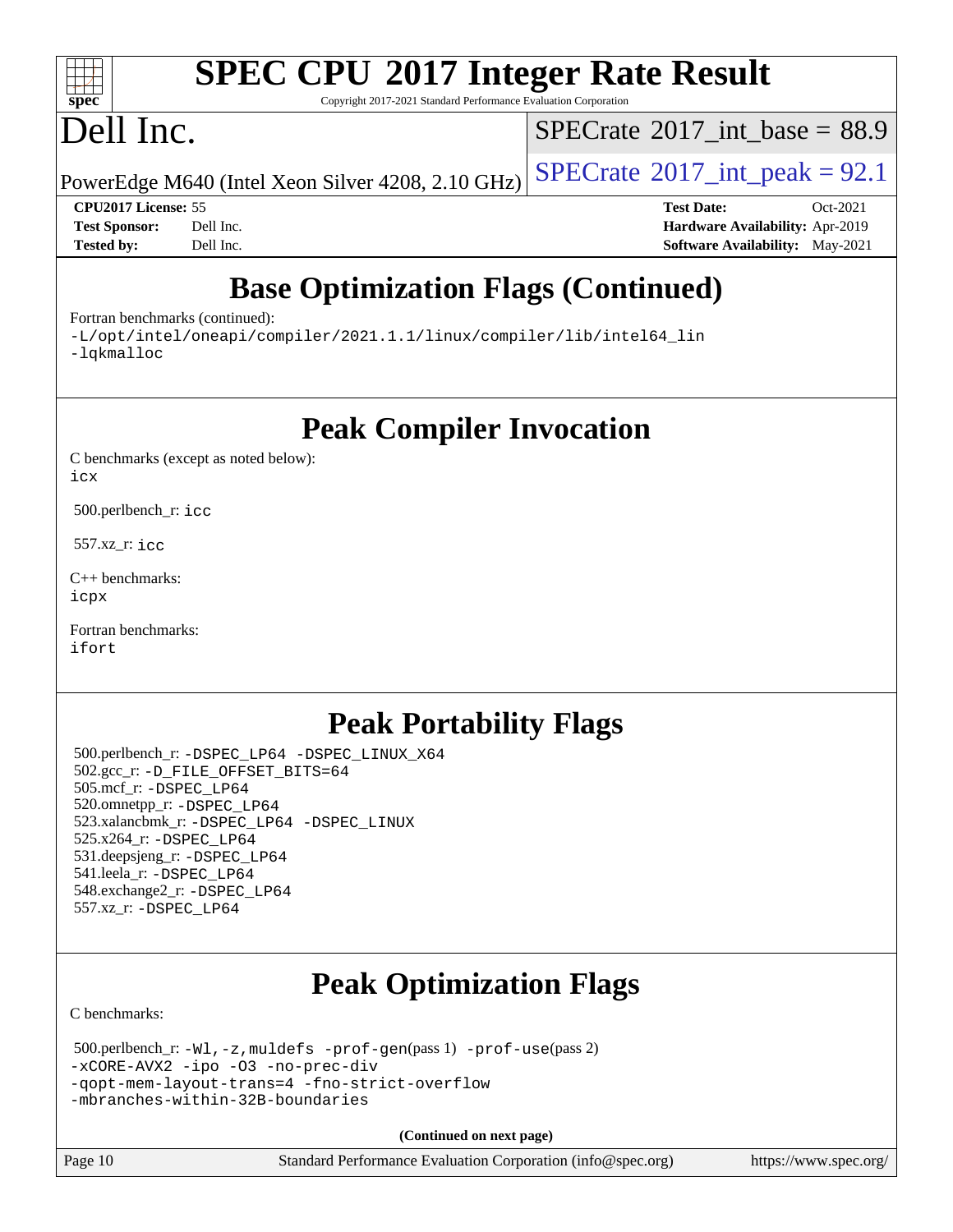#### $\pm\pm\tau$ **[spec](http://www.spec.org/)**

# **[SPEC CPU](http://www.spec.org/auto/cpu2017/Docs/result-fields.html#SPECCPU2017IntegerRateResult)[2017 Integer Rate Result](http://www.spec.org/auto/cpu2017/Docs/result-fields.html#SPECCPU2017IntegerRateResult)**

Copyright 2017-2021 Standard Performance Evaluation Corporation

# Dell Inc.

[SPECrate](http://www.spec.org/auto/cpu2017/Docs/result-fields.html#SPECrate2017intbase)®2017 int\_base =  $88.9$ 

PowerEdge M640 (Intel Xeon Silver 4208, 2.10 GHz)  $\left|$  [SPECrate](http://www.spec.org/auto/cpu2017/Docs/result-fields.html#SPECrate2017intpeak)<sup>®</sup>[2017\\_int\\_peak =](http://www.spec.org/auto/cpu2017/Docs/result-fields.html#SPECrate2017intpeak) 92.1

**[CPU2017 License:](http://www.spec.org/auto/cpu2017/Docs/result-fields.html#CPU2017License)** 55 **[Test Date:](http://www.spec.org/auto/cpu2017/Docs/result-fields.html#TestDate)** Oct-2021 **[Test Sponsor:](http://www.spec.org/auto/cpu2017/Docs/result-fields.html#TestSponsor)** Dell Inc. **[Hardware Availability:](http://www.spec.org/auto/cpu2017/Docs/result-fields.html#HardwareAvailability)** Apr-2019 **[Tested by:](http://www.spec.org/auto/cpu2017/Docs/result-fields.html#Testedby)** Dell Inc. **[Software Availability:](http://www.spec.org/auto/cpu2017/Docs/result-fields.html#SoftwareAvailability)** May-2021

## **[Base Optimization Flags \(Continued\)](http://www.spec.org/auto/cpu2017/Docs/result-fields.html#BaseOptimizationFlags)**

[Fortran benchmarks](http://www.spec.org/auto/cpu2017/Docs/result-fields.html#Fortranbenchmarks) (continued):

[-L/opt/intel/oneapi/compiler/2021.1.1/linux/compiler/lib/intel64\\_lin](http://www.spec.org/cpu2017/results/res2021q4/cpu2017-20211108-29972.flags.html#user_FCbase_linkpath_f3ac96bc44eb3356c66274e76f12ce7989555e6431aa425d8bf37251b5a0a8e4f20d385a762420f3e0cdf627bb737484454017ddfa67f55a42ce17058c8be12d) [-lqkmalloc](http://www.spec.org/cpu2017/results/res2021q4/cpu2017-20211108-29972.flags.html#user_FCbase_qkmalloc_link_lib_79a818439969f771c6bc311cfd333c00fc099dad35c030f5aab9dda831713d2015205805422f83de8875488a2991c0a156aaa600e1f9138f8fc37004abc96dc5)

**[Peak Compiler Invocation](http://www.spec.org/auto/cpu2017/Docs/result-fields.html#PeakCompilerInvocation)**

[C benchmarks \(except as noted below\)](http://www.spec.org/auto/cpu2017/Docs/result-fields.html#Cbenchmarksexceptasnotedbelow): [icx](http://www.spec.org/cpu2017/results/res2021q4/cpu2017-20211108-29972.flags.html#user_CCpeak_intel_icx_fe2d28d19ae2a5db7c42fe0f2a2aed77cb715edd4aeb23434404a8be6683fe239869bb6ca8154ca98265c2e3b9226a719a0efe2953a4a7018c379b7010ccf087)

500.perlbench\_r: [icc](http://www.spec.org/cpu2017/results/res2021q4/cpu2017-20211108-29972.flags.html#user_peakCCLD500_perlbench_r_intel_icc_66fc1ee009f7361af1fbd72ca7dcefbb700085f36577c54f309893dd4ec40d12360134090235512931783d35fd58c0460139e722d5067c5574d8eaf2b3e37e92)

557.xz\_r: [icc](http://www.spec.org/cpu2017/results/res2021q4/cpu2017-20211108-29972.flags.html#user_peakCCLD557_xz_r_intel_icc_66fc1ee009f7361af1fbd72ca7dcefbb700085f36577c54f309893dd4ec40d12360134090235512931783d35fd58c0460139e722d5067c5574d8eaf2b3e37e92)

[C++ benchmarks:](http://www.spec.org/auto/cpu2017/Docs/result-fields.html#CXXbenchmarks) [icpx](http://www.spec.org/cpu2017/results/res2021q4/cpu2017-20211108-29972.flags.html#user_CXXpeak_intel_icpx_1e918ed14c436bf4b9b7c8bcdd51d4539fc71b3df010bd1e9f8732d9c34c2b2914e48204a846820f3c0ebb4095dea797a5c30b458ac0b6dffac65d78f781f5ca)

[Fortran benchmarks](http://www.spec.org/auto/cpu2017/Docs/result-fields.html#Fortranbenchmarks): [ifort](http://www.spec.org/cpu2017/results/res2021q4/cpu2017-20211108-29972.flags.html#user_FCpeak_intel_ifort_8111460550e3ca792625aed983ce982f94888b8b503583aa7ba2b8303487b4d8a21a13e7191a45c5fd58ff318f48f9492884d4413fa793fd88dd292cad7027ca)

## **[Peak Portability Flags](http://www.spec.org/auto/cpu2017/Docs/result-fields.html#PeakPortabilityFlags)**

 500.perlbench\_r: [-DSPEC\\_LP64](http://www.spec.org/cpu2017/results/res2021q4/cpu2017-20211108-29972.flags.html#b500.perlbench_r_peakPORTABILITY_DSPEC_LP64) [-DSPEC\\_LINUX\\_X64](http://www.spec.org/cpu2017/results/res2021q4/cpu2017-20211108-29972.flags.html#b500.perlbench_r_peakCPORTABILITY_DSPEC_LINUX_X64) 502.gcc\_r: [-D\\_FILE\\_OFFSET\\_BITS=64](http://www.spec.org/cpu2017/results/res2021q4/cpu2017-20211108-29972.flags.html#user_peakPORTABILITY502_gcc_r_file_offset_bits_64_5ae949a99b284ddf4e95728d47cb0843d81b2eb0e18bdfe74bbf0f61d0b064f4bda2f10ea5eb90e1dcab0e84dbc592acfc5018bc955c18609f94ddb8d550002c) 505.mcf\_r: [-DSPEC\\_LP64](http://www.spec.org/cpu2017/results/res2021q4/cpu2017-20211108-29972.flags.html#suite_peakPORTABILITY505_mcf_r_DSPEC_LP64) 520.omnetpp\_r: [-DSPEC\\_LP64](http://www.spec.org/cpu2017/results/res2021q4/cpu2017-20211108-29972.flags.html#suite_peakPORTABILITY520_omnetpp_r_DSPEC_LP64) 523.xalancbmk\_r: [-DSPEC\\_LP64](http://www.spec.org/cpu2017/results/res2021q4/cpu2017-20211108-29972.flags.html#suite_peakPORTABILITY523_xalancbmk_r_DSPEC_LP64) [-DSPEC\\_LINUX](http://www.spec.org/cpu2017/results/res2021q4/cpu2017-20211108-29972.flags.html#b523.xalancbmk_r_peakCXXPORTABILITY_DSPEC_LINUX) 525.x264\_r: [-DSPEC\\_LP64](http://www.spec.org/cpu2017/results/res2021q4/cpu2017-20211108-29972.flags.html#suite_peakPORTABILITY525_x264_r_DSPEC_LP64) 531.deepsjeng\_r: [-DSPEC\\_LP64](http://www.spec.org/cpu2017/results/res2021q4/cpu2017-20211108-29972.flags.html#suite_peakPORTABILITY531_deepsjeng_r_DSPEC_LP64) 541.leela\_r: [-DSPEC\\_LP64](http://www.spec.org/cpu2017/results/res2021q4/cpu2017-20211108-29972.flags.html#suite_peakPORTABILITY541_leela_r_DSPEC_LP64) 548.exchange2\_r: [-DSPEC\\_LP64](http://www.spec.org/cpu2017/results/res2021q4/cpu2017-20211108-29972.flags.html#suite_peakPORTABILITY548_exchange2_r_DSPEC_LP64) 557.xz\_r: [-DSPEC\\_LP64](http://www.spec.org/cpu2017/results/res2021q4/cpu2017-20211108-29972.flags.html#suite_peakPORTABILITY557_xz_r_DSPEC_LP64)

## **[Peak Optimization Flags](http://www.spec.org/auto/cpu2017/Docs/result-fields.html#PeakOptimizationFlags)**

[C benchmarks](http://www.spec.org/auto/cpu2017/Docs/result-fields.html#Cbenchmarks):

 500.perlbench\_r: [-Wl,-z,muldefs](http://www.spec.org/cpu2017/results/res2021q4/cpu2017-20211108-29972.flags.html#user_peakEXTRA_LDFLAGS500_perlbench_r_link_force_multiple1_b4cbdb97b34bdee9ceefcfe54f4c8ea74255f0b02a4b23e853cdb0e18eb4525ac79b5a88067c842dd0ee6996c24547a27a4b99331201badda8798ef8a743f577) [-prof-gen](http://www.spec.org/cpu2017/results/res2021q4/cpu2017-20211108-29972.flags.html#user_peakPASS1_CFLAGSPASS1_LDFLAGS500_perlbench_r_prof_gen_5aa4926d6013ddb2a31985c654b3eb18169fc0c6952a63635c234f711e6e63dd76e94ad52365559451ec499a2cdb89e4dc58ba4c67ef54ca681ffbe1461d6b36)(pass 1) [-prof-use](http://www.spec.org/cpu2017/results/res2021q4/cpu2017-20211108-29972.flags.html#user_peakPASS2_CFLAGSPASS2_LDFLAGS500_perlbench_r_prof_use_1a21ceae95f36a2b53c25747139a6c16ca95bd9def2a207b4f0849963b97e94f5260e30a0c64f4bb623698870e679ca08317ef8150905d41bd88c6f78df73f19)(pass 2) [-xCORE-AVX2](http://www.spec.org/cpu2017/results/res2021q4/cpu2017-20211108-29972.flags.html#user_peakCOPTIMIZE500_perlbench_r_f-xCORE-AVX2) [-ipo](http://www.spec.org/cpu2017/results/res2021q4/cpu2017-20211108-29972.flags.html#user_peakCOPTIMIZE500_perlbench_r_f-ipo) [-O3](http://www.spec.org/cpu2017/results/res2021q4/cpu2017-20211108-29972.flags.html#user_peakCOPTIMIZE500_perlbench_r_f-O3) [-no-prec-div](http://www.spec.org/cpu2017/results/res2021q4/cpu2017-20211108-29972.flags.html#user_peakCOPTIMIZE500_perlbench_r_f-no-prec-div) [-qopt-mem-layout-trans=4](http://www.spec.org/cpu2017/results/res2021q4/cpu2017-20211108-29972.flags.html#user_peakCOPTIMIZE500_perlbench_r_f-qopt-mem-layout-trans_fa39e755916c150a61361b7846f310bcdf6f04e385ef281cadf3647acec3f0ae266d1a1d22d972a7087a248fd4e6ca390a3634700869573d231a252c784941a8) [-fno-strict-overflow](http://www.spec.org/cpu2017/results/res2021q4/cpu2017-20211108-29972.flags.html#user_peakEXTRA_OPTIMIZE500_perlbench_r_f-fno-strict-overflow) [-mbranches-within-32B-boundaries](http://www.spec.org/cpu2017/results/res2021q4/cpu2017-20211108-29972.flags.html#user_peakEXTRA_COPTIMIZE500_perlbench_r_f-mbranches-within-32B-boundaries)

**(Continued on next page)**

Page 10 Standard Performance Evaluation Corporation [\(info@spec.org\)](mailto:info@spec.org) <https://www.spec.org/>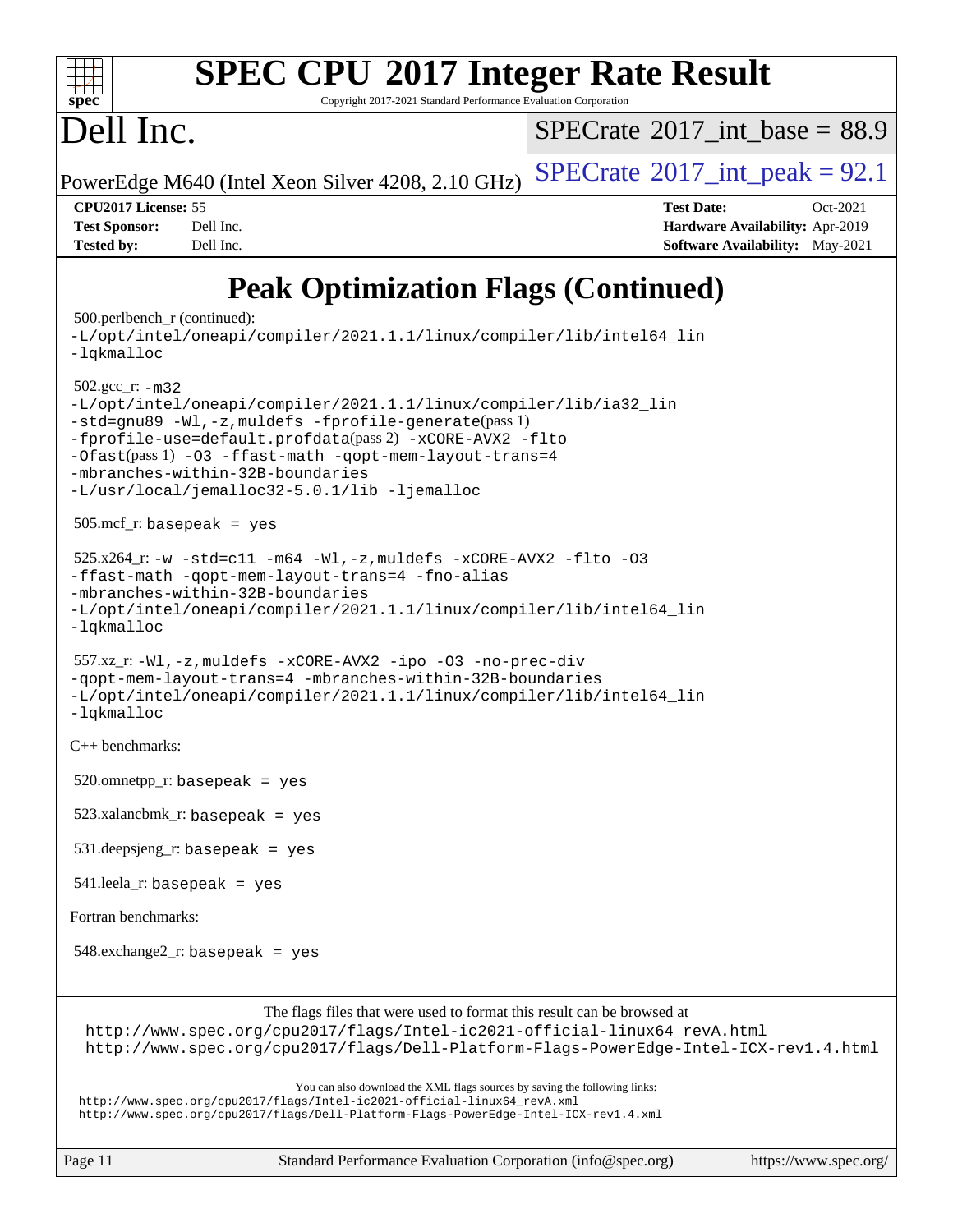

# **[SPEC CPU](http://www.spec.org/auto/cpu2017/Docs/result-fields.html#SPECCPU2017IntegerRateResult)[2017 Integer Rate Result](http://www.spec.org/auto/cpu2017/Docs/result-fields.html#SPECCPU2017IntegerRateResult)**

Copyright 2017-2021 Standard Performance Evaluation Corporation

# Dell Inc.

[SPECrate](http://www.spec.org/auto/cpu2017/Docs/result-fields.html#SPECrate2017intbase)®2017 int\_base =  $88.9$ 

PowerEdge M640 (Intel Xeon Silver 4208, 2.10 GHz)  $\text{SPECrate}^{\text{\textregistered}}2017\_int\_peak = 92.1$  $\text{SPECrate}^{\text{\textregistered}}2017\_int\_peak = 92.1$  $\text{SPECrate}^{\text{\textregistered}}2017\_int\_peak = 92.1$ 

**[CPU2017 License:](http://www.spec.org/auto/cpu2017/Docs/result-fields.html#CPU2017License)** 55 **[Test Date:](http://www.spec.org/auto/cpu2017/Docs/result-fields.html#TestDate)** Oct-2021 **[Test Sponsor:](http://www.spec.org/auto/cpu2017/Docs/result-fields.html#TestSponsor)** Dell Inc. **[Hardware Availability:](http://www.spec.org/auto/cpu2017/Docs/result-fields.html#HardwareAvailability)** Apr-2019 **[Tested by:](http://www.spec.org/auto/cpu2017/Docs/result-fields.html#Testedby)** Dell Inc. **[Software Availability:](http://www.spec.org/auto/cpu2017/Docs/result-fields.html#SoftwareAvailability)** May-2021

## **[Peak Optimization Flags \(Continued\)](http://www.spec.org/auto/cpu2017/Docs/result-fields.html#PeakOptimizationFlags)**

```
(info@spec.org)https://www.spec.org/
  500.perlbench_r (continued):
-L/opt/intel/oneapi/compiler/2021.1.1/linux/compiler/lib/intel64_lin
-lqkmalloc
  502.gcc_r: -m32
-L/opt/intel/oneapi/compiler/2021.1.1/linux/compiler/lib/ia32_lin
-std=gnu89 -Wl,-z,muldefs -fprofile-generate(pass 1)
-fprofile-use=default.profdata(pass 2) -xCORE-AVX2 -flto
-Ofast(pass 1) -O3 -ffast-math -qopt-mem-layout-trans=4
-mbranches-within-32B-boundaries
-L/usr/local/jemalloc32-5.0.1/lib -ljemalloc
  505.mcf_r: basepeak = yes
 525.x264_r: -w -std= c11 -m64 -Wl, -z, muldefs -xCORE-AVX2 -flto -03-ffast-math -qopt-mem-layout-trans=4 -fno-alias
-mbranches-within-32B-boundaries
-L/opt/intel/oneapi/compiler/2021.1.1/linux/compiler/lib/intel64_lin
-lqkmalloc
  557.xz_r: -Wl,-z,muldefs -xCORE-AVX2 -ipo -O3 -no-prec-div
-qopt-mem-layout-trans=4 -mbranches-within-32B-boundaries
-L/opt/intel/oneapi/compiler/2021.1.1/linux/compiler/lib/intel64_lin
-lqkmalloc
C++ benchmarks: 
 520.omnetpp_r: basepeak = yes
  523.xalancbmk_r: basepeak = yes
  531.deepsjeng_r: basepeak = yes
  541.leela_r: basepeak = yes
Fortran benchmarks: 
  548.exchange2_r: basepeak = yes
                       The flags files that were used to format this result can be browsed at
  http://www.spec.org/cpu2017/flags/Intel-ic2021-official-linux64_revA.html
  http://www.spec.org/cpu2017/flags/Dell-Platform-Flags-PowerEdge-Intel-ICX-rev1.4.html
                           You can also download the XML flags sources by saving the following links:
 http://www.spec.org/cpu2017/flags/Intel-ic2021-official-linux64_revA.xml
 http://www.spec.org/cpu2017/flags/Dell-Platform-Flags-PowerEdge-Intel-ICX-rev1.4.xml
```